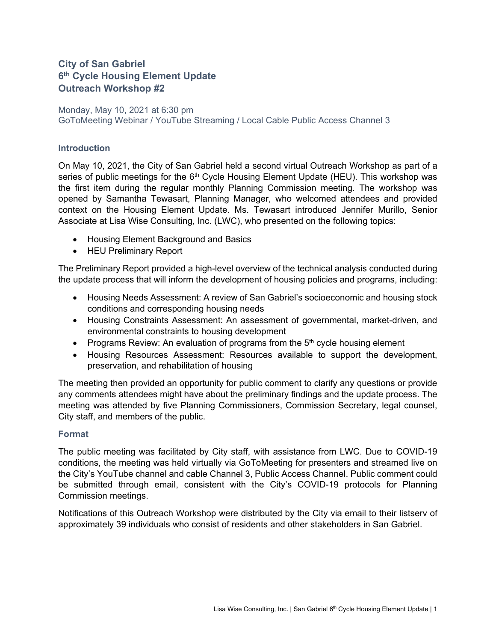## **City of San Gabriel 6th Cycle Housing Element Update Outreach Workshop #2**

Monday, May 10, 2021 at 6:30 pm GoToMeeting Webinar / YouTube Streaming / Local Cable Public Access Channel 3

#### **Introduction**

On May 10, 2021, the City of San Gabriel held a second virtual Outreach Workshop as part of a series of public meetings for the  $6<sup>th</sup>$  Cycle Housing Element Update (HEU). This workshop was the first item during the regular monthly Planning Commission meeting. The workshop was opened by Samantha Tewasart, Planning Manager, who welcomed attendees and provided context on the Housing Element Update. Ms. Tewasart introduced Jennifer Murillo, Senior Associate at Lisa Wise Consulting, Inc. (LWC), who presented on the following topics:

- Housing Element Background and Basics
- HEU Preliminary Report

The Preliminary Report provided a high-level overview of the technical analysis conducted during the update process that will inform the development of housing policies and programs, including:

- Housing Needs Assessment: A review of San Gabriel's socioeconomic and housing stock conditions and corresponding housing needs
- Housing Constraints Assessment: An assessment of governmental, market-driven, and environmental constraints to housing development
- Programs Review: An evaluation of programs from the  $5<sup>th</sup>$  cycle housing element
- Housing Resources Assessment: Resources available to support the development, preservation, and rehabilitation of housing

The meeting then provided an opportunity for public comment to clarify any questions or provide any comments attendees might have about the preliminary findings and the update process. The meeting was attended by five Planning Commissioners, Commission Secretary, legal counsel, City staff, and members of the public.

### **Format**

The public meeting was facilitated by City staff, with assistance from LWC. Due to COVID-19 conditions, the meeting was held virtually via GoToMeeting for presenters and streamed live on the City's YouTube channel and cable Channel 3, Public Access Channel. Public comment could be submitted through email, consistent with the City's COVID-19 protocols for Planning Commission meetings.

Notifications of this Outreach Workshop were distributed by the City via email to their listserv of approximately 39 individuals who consist of residents and other stakeholders in San Gabriel.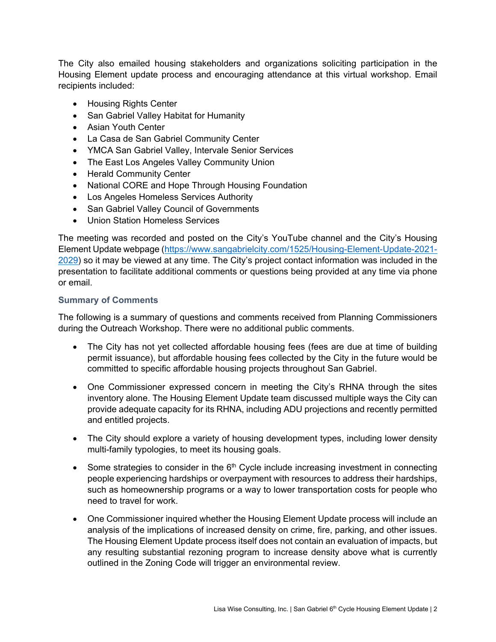The City also emailed housing stakeholders and organizations soliciting participation in the Housing Element update process and encouraging attendance at this virtual workshop. Email recipients included:

- Housing Rights Center
- San Gabriel Valley Habitat for Humanity
- Asian Youth Center
- La Casa de San Gabriel Community Center
- YMCA San Gabriel Valley, Intervale Senior Services
- The East Los Angeles Valley Community Union
- Herald Community Center
- National CORE and Hope Through Housing Foundation
- Los Angeles Homeless Services Authority
- San Gabriel Valley Council of Governments
- Union Station Homeless Services

The meeting was recorded and posted on the City's YouTube channel and the City's Housing Element Update webpage [\(https://www.sangabrielcity.com/1525/Housing-Element-Update-2021-](https://www.sangabrielcity.com/1525/Housing-Element-Update-2021-2029) [2029\)](https://www.sangabrielcity.com/1525/Housing-Element-Update-2021-2029) so it may be viewed at any time. The City's project contact information was included in the presentation to facilitate additional comments or questions being provided at any time via phone or email.

### **Summary of Comments**

The following is a summary of questions and comments received from Planning Commissioners during the Outreach Workshop. There were no additional public comments.

- The City has not yet collected affordable housing fees (fees are due at time of building permit issuance), but affordable housing fees collected by the City in the future would be committed to specific affordable housing projects throughout San Gabriel.
- One Commissioner expressed concern in meeting the City's RHNA through the sites inventory alone. The Housing Element Update team discussed multiple ways the City can provide adequate capacity for its RHNA, including ADU projections and recently permitted and entitled projects.
- The City should explore a variety of housing development types, including lower density multi-family typologies, to meet its housing goals.
- Some strategies to consider in the  $6<sup>th</sup>$  Cycle include increasing investment in connecting people experiencing hardships or overpayment with resources to address their hardships, such as homeownership programs or a way to lower transportation costs for people who need to travel for work.
- One Commissioner inquired whether the Housing Element Update process will include an analysis of the implications of increased density on crime, fire, parking, and other issues. The Housing Element Update process itself does not contain an evaluation of impacts, but any resulting substantial rezoning program to increase density above what is currently outlined in the Zoning Code will trigger an environmental review.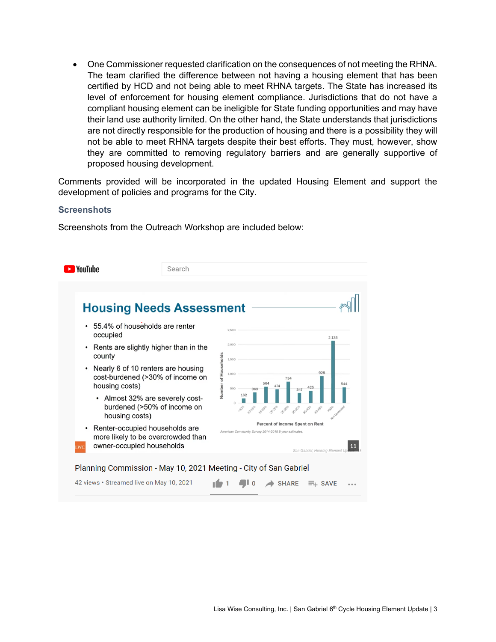• One Commissioner requested clarification on the consequences of not meeting the RHNA. The team clarified the difference between not having a housing element that has been certified by HCD and not being able to meet RHNA targets. The State has increased its level of enforcement for housing element compliance. Jurisdictions that do not have a compliant housing element can be ineligible for State funding opportunities and may have their land use authority limited. On the other hand, the State understands that jurisdictions are not directly responsible for the production of housing and there is a possibility they will not be able to meet RHNA targets despite their best efforts. They must, however, show they are committed to removing regulatory barriers and are generally supportive of proposed housing development.

Comments provided will be incorporated in the updated Housing Element and support the development of policies and programs for the City.

#### **Screenshots**

Screenshots from the Outreach Workshop are included below: